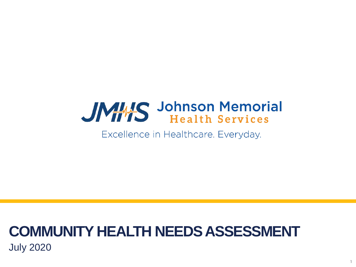# JMHS Johnson Memorial

Excellence in Healthcare. Everyday.

1

### **COMMUNITY HEALTH NEEDS ASSESSMENT** July 2020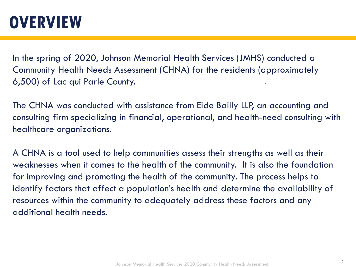### **OVERVIEW**

In the spring of 2020, Johnson Memorial Health Services (JMHS) conducted a Community Health Needs Assessment (CHNA) for the residents (approximately 6,500) of Lac qui Parle County.

The CHNA was conducted with assistance from Eide Bailly LLP, an accounting and consulting firm specializing in financial, operational, and health-need consulting with healthcare organizations.

A CHNA is a tool used to help communities assess their strengths as well as their weaknesses when it comes to the health of the community. It is also the foundation for improving and promoting the health of the community. The process helps to identify factors that affect a population's health and determine the availability of resources within the community to adequately address these factors and any additional health needs.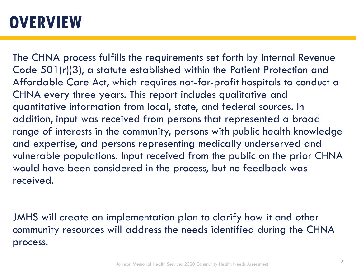### **OVERVIEW**

The CHNA process fulfills the requirements set forth by Internal Revenue Code 501(r)(3), a statute established within the Patient Protection and Affordable Care Act, which requires not-for-profit hospitals to conduct a CHNA every three years. This report includes qualitative and quantitative information from local, state, and federal sources. In addition, input was received from persons that represented a broad range of interests in the community, persons with public health knowledge and expertise, and persons representing medically underserved and vulnerable populations. Input received from the public on the prior CHNA would have been considered in the process, but no feedback was received.

JMHS will create an implementation plan to clarify how it and other community resources will address the needs identified during the CHNA process.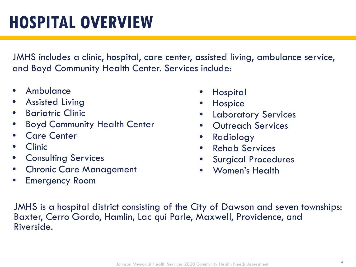JMHS includes a clinic, hospital, care center, assisted living, ambulance service, and Boyd Community Health Center. Services include:

- **Ambulance**
- Assisted Living
- Bariatric Clinic
- Boyd Community Health Center
- Care Center
- Clinic
- Consulting Services
- Chronic Care Management
- Emergency Room
- Hospital
- Hospice
- Laboratory Services
- Outreach Services
- Radiology
- Rehab Services
- Surgical Procedures
- Women's Health

JMHS is a hospital district consisting of the City of Dawson and seven townships: Baxter, Cerro Gordo, Hamlin, Lac qui Parle, Maxwell, Providence, and Riverside.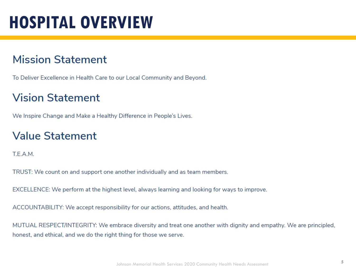### **HOSPITAL OVERVIEW**

### **Mission Statement**

To Deliver Excellence in Health Care to our Local Community and Beyond.

### **Vision Statement**

We Inspire Change and Make a Healthy Difference in People's Lives.

### **Value Statement**

T.E.A.M.

TRUST: We count on and support one another individually and as team members.

EXCELLENCE: We perform at the highest level, always learning and looking for ways to improve.

ACCOUNTABILITY: We accept responsibility for our actions, attitudes, and health.

MUTUAL RESPECT/INTEGRITY: We embrace diversity and treat one another with dignity and empathy. We are principled, honest, and ethical, and we do the right thing for those we serve.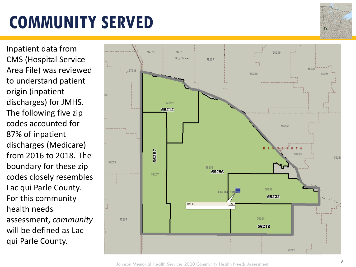Inpatient data from CMS (Hospital Service Area File) was reviewed to understand patient origin (inpatient discharges) for JMHS. The following five zip codes accounted for 87% of inpatient discharges (Medicare) from 2016 to 2018. The boundary for these zip codes closely resembles Lac qui Parle County. For this community health needs assessment, *community* will be defined as Lac qui Parle County.



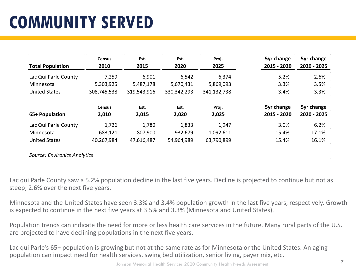|                         | <b>Census</b> | Est.        | Est.          | Proj.       | 5yr change  | 5yr change  |
|-------------------------|---------------|-------------|---------------|-------------|-------------|-------------|
| <b>Total Population</b> | 2010          | 2015        | 2020          | 2025        | 2015 - 2020 | 2020 - 2025 |
| Lac Qui Parle County    | 7,259         | 6,901       | 6,542         | 6,374       | $-5.2%$     | $-2.6%$     |
| Minnesota               | 5,303,925     | 5,487,178   | 5,670,431     | 5,869,093   | 3.3%        | 3.5%        |
| <b>United States</b>    | 308,745,538   | 319,543,916 | 330, 342, 293 | 341,132,738 | 3.4%        | 3.3%        |
|                         | <b>Census</b> | Est.        | Est.          | Proj.       | 5yr change  | 5yr change  |
| 65+ Population          | 2,010         | 2,015       | 2,020         | 2,025       | 2015 - 2020 | 2020 - 2025 |
| Lac Qui Parle County    | 1,726         | 1,780       | 1,833         | 1,947       | 3.0%        | 6.2%        |
| Minnesota               |               |             |               |             | 15.4%       | 17.1%       |
|                         | 683,121       | 807,900     | 932,679       | 1,092,611   |             |             |

*Source: Environics Analytics*

Lac qui Parle County saw a 5.2% population decline in the last five years. Decline is projected to continue but not as steep; 2.6% over the next five years.

Minnesota and the United States have seen 3.3% and 3.4% population growth in the last five years, respectively. Growth is expected to continue in the next five years at 3.5% and 3.3% (Minnesota and United States).

Population trends can indicate the need for more or less health care services in the future. Many rural parts of the U.S. are projected to have declining populations in the next five years.

Lac qui Parle's 65+ population is growing but not at the same rate as for Minnesota or the United States. An aging population can impact need for health services, swing bed utilization, senior living, payer mix, etc.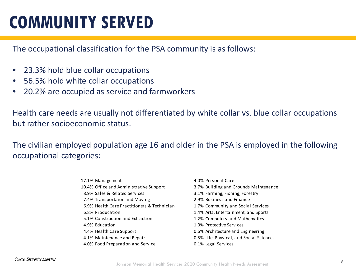The occupational classification for the PSA community is as follows:

- 23.3% hold blue collar occupations
- 56.5% hold white collar occupations
- 20.2% are occupied as service and farmworkers

Health care needs are usually not differentiated by white collar vs. blue collar occupations but rather socioeconomic status.

The civilian employed population age 16 and older in the PSA is employed in the following occupational categories:

| 17.1% Management                            | 4.0% Personal Care                       |
|---------------------------------------------|------------------------------------------|
| 10.4% Office and Administrative Support     | 3.7% Building and Grounds Maintenance    |
| 8.9% Sales & Related Services               | 3.1% Farming, Fishing, Forestry          |
| 7.4% Transportaion and Moving               | 2.9% Business and Finance                |
| 6.9% Health Care Practitioners & Technician | 1.7% Community and Social Services       |
| 6.8% Producation                            | 1.4% Arts, Entertainment, and Sports     |
| 5.1% Construction and Extraction            | 1.2% Computers and Mathematics           |
| 4.9% Education                              | 1.0% Protective Services                 |
| 4.4% Health Care Support                    | 0.6% Architecture and Engineering        |
| 4.1% Maintenance and Repair                 | 0.5% Life, Physical, and Social Sciences |
| 4.0% Food Preparation and Service           | 0.1% Legal Services                      |
|                                             |                                          |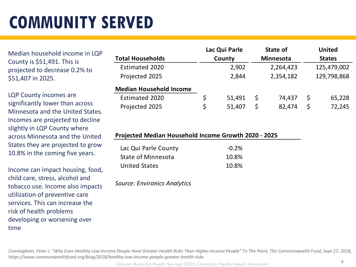Median household income in LQP County is \$51,491. This is projected to decrease 0.2% to \$51,407 in 2025.

LQP County incomes are significantly lower than across Minnesota and the United States. Incomes are projected to decline slightly in LQP County where across Minnesota and the United States they are projected to grow 10.8% in the coming five years.

Income can impact housing, food, child care, stress, alcohol and tobacco use. Income also impacts utilization of preventive care services. This can increase the risk of health problems developing or worsening over time

|                                                                              |        | Lac Qui Parle |                  | State of  |               | <b>United</b> |
|------------------------------------------------------------------------------|--------|---------------|------------------|-----------|---------------|---------------|
| <b>Total Households</b>                                                      | County |               | <b>Minnesota</b> |           | <b>States</b> |               |
| Estimated 2020                                                               |        | 2,902         |                  | 2,264,423 |               | 125,479,002   |
| Projected 2025                                                               |        | 2,844         |                  | 2,354,182 |               | 129,798,868   |
| <b>Median Household Income</b>                                               |        |               |                  |           |               |               |
| <b>Estimated 2020</b>                                                        | \$     | 51,491        | \$               | 74,437    | \$            | 65,228        |
| Projected 2025                                                               | \$     | 51,407        | \$               | 82,474    | \$            | 72,245        |
| Projected Median Household Income Growth 2020 - 2025<br>Lac Qui Parle County |        | $-0.2%$       |                  |           |               |               |
| <b>State of Minnesota</b>                                                    |        | 10.8%         |                  |           |               |               |
|                                                                              |        |               |                  |           |               |               |
| <b>United States</b>                                                         |        | 10.8%         |                  |           |               |               |

*Cunningham, Peter J. "Why Even Healthy Low-Income People Have Greater Health Risks Than Higher-Income People" To The Point, The Commonwealth Fund, Sept 27, 2018, https://www.commonwealthfund.org/blog/2018/healthy-low-income-people-greater-health-risks*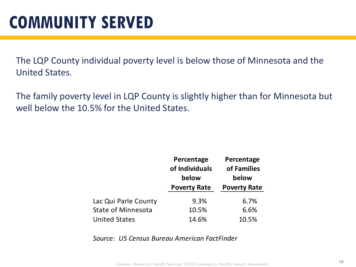The LQP County individual poverty level is below those of Minnesota and the United States.

The family poverty level in LQP County is slightly higher than for Minnesota but well below the 10.5% for the United States.

|                           | Percentage<br>of Individuals<br>below | Percentage<br>of Families<br>below |  |
|---------------------------|---------------------------------------|------------------------------------|--|
|                           | <b>Poverty Rate</b>                   | <b>Poverty Rate</b>                |  |
| Lac Qui Parle County      | 9.3%                                  | 6.7%                               |  |
| <b>State of Minnesota</b> | 10.5%                                 | 6.6%                               |  |
| <b>United States</b>      | 14.6%                                 | 10.5%                              |  |

*Source: US Census Bureau American FactFinder*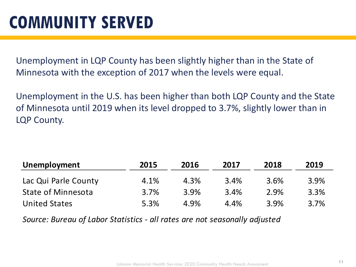Unemployment in LQP County has been slightly higher than in the State of Minnesota with the exception of 2017 when the levels were equal.

Unemployment in the U.S. has been higher than both LQP County and the State of Minnesota until 2019 when its level dropped to 3.7%, slightly lower than in LQP County.

| Unemployment         | 2015 | 2016 | 2017 | 2018 | 2019 |  |
|----------------------|------|------|------|------|------|--|
| Lac Qui Parle County | 4.1% | 4.3% | 3.4% | 3.6% | 3.9% |  |
| State of Minnesota   | 3.7% | 3.9% | 3.4% | 2.9% | 3.3% |  |
| <b>United States</b> | 5.3% | 4.9% | 4.4% | 3.9% | 3.7% |  |

*Source: Bureau of Labor Statistics - all rates are not seasonally adjusted*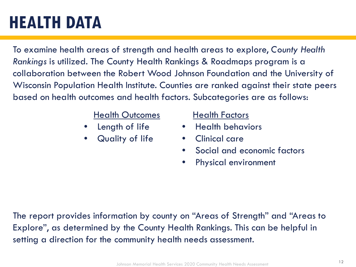### **HEALTH DATA**

To examine health areas of strength and health areas to explore, *County Health Rankings* is utilized. The County Health Rankings & Roadmaps program is a collaboration between the Robert Wood Johnson Foundation and the University of Wisconsin Population Health Institute. Counties are ranked against their state peers based on health outcomes and health factors. Subcategories are as follows:

#### Health Outcomes

- Length of life
- Quality of life

#### Health Factors

- Health behaviors
- Clinical care
- Social and economic factors
- Physical environment

The report provides information by county on "Areas of Strength" and "Areas to Explore", as determined by the County Health Rankings. This can be helpful in setting a direction for the community health needs assessment.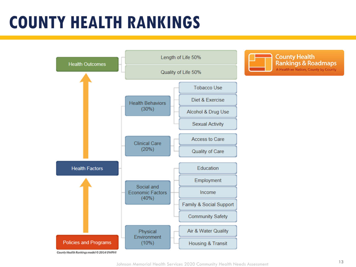### **COUNTY HEALTH RANKINGS**

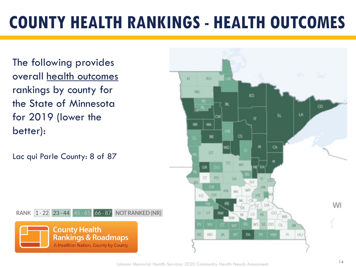## **COUNTY HEALTH RANKINGS - HEALTH OUTCOMES**

The following provides overall health outcomes rankings by county for the State of Minnesota for 2019 (lower the better):

Lac qui Parle County: 8 of 87



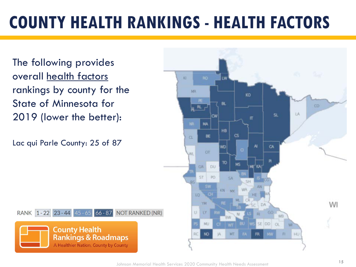## **COUNTY HEALTH RANKINGS - HEALTH FACTORS**

The following provides overall health factors rankings by county for the State of Minnesota for 2019 (lower the better):

Lac qui Parle County: 25 of 87

**K3** MR KO BL. CD<sup>2</sup>  $RL$ LA п MA HB  $\mathbf{c}$ BE  $\alpha$ Al CA ИD OT **JULI** 10 NS **DU** GR ST. PO **KA** KN MK 1D YM WI DA U. LY. GO Rt NI WB MU SE DD MT NO<sub>1</sub> HU

RANK 1-22 23-44 45-65 66-87 NOT RANKED (NR)

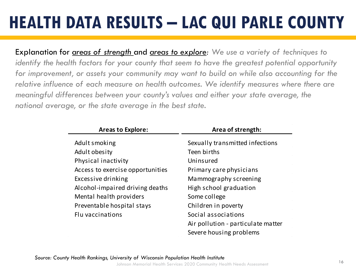## **HEALTH DATA RESULTS – LAC QUI PARLE COUNTY**

Explanation for *areas of strength* and *areas to explore: We use a variety of techniques to identify the health factors for your county that seem to have the greatest potential opportunity for improvement, or assets your community may want to build on while also accounting for the relative influence of each measure on health outcomes. We identify measures where there are meaningful differences between your county's values and either your state average, the national average, or the state average in the best state.* 

| <b>Areas to Explore:</b>         | Area of strength:                  |  |  |  |
|----------------------------------|------------------------------------|--|--|--|
| Adult smoking                    | Sexually transmitted infections    |  |  |  |
| Adult obesity                    | Teen births                        |  |  |  |
| Physical inactivity              | Uninsured                          |  |  |  |
| Access to exercise opportunities | Primary care physicians            |  |  |  |
| Excessive drinking               | Mammography screening              |  |  |  |
| Alcohol-impaired driving deaths  | High school graduation             |  |  |  |
| Mental health providers          | Some college                       |  |  |  |
| Preventable hospital stays       | Children in poverty                |  |  |  |
| Flu vaccinations                 | Social associations                |  |  |  |
|                                  | Air pollution - particulate matter |  |  |  |
|                                  | Severe housing problems            |  |  |  |

<sup>16</sup> *Source: County Health Rankings, University of Wisconsin Population Health Institute*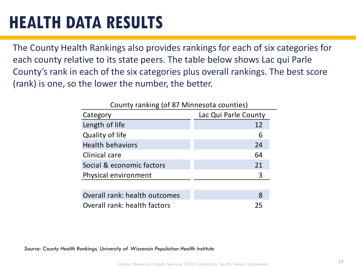### **HEALTH DATA RESULTS**

The County Health Rankings also provides rankings for each of six categories for each county relative to its state peers. The table below shows Lac qui Parle County's rank in each of the six categories plus overall rankings. The best score (rank) is one, so the lower the number, the better.

| County ranking (of 87 Minnesota counties) |                      |  |  |  |
|-------------------------------------------|----------------------|--|--|--|
| Category                                  | Lac Qui Parle County |  |  |  |
| Length of life                            | 12                   |  |  |  |
| Quality of life                           | 6                    |  |  |  |
| <b>Health behaviors</b>                   | 24                   |  |  |  |
| Clinical care                             | 64                   |  |  |  |
| Social & economic factors                 | 21                   |  |  |  |
| Physical environment                      | 3                    |  |  |  |
|                                           |                      |  |  |  |
| Overall rank: health outcomes             | 8                    |  |  |  |
| Overall rank: health factors              | 25                   |  |  |  |

*Source: County Health Rankings, University of Wisconsin Population Health Institute*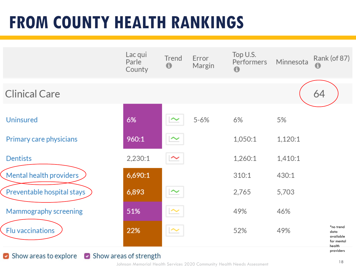### **FROM COUNTY HEALTH RANKINGS**

|                            | Lac qui<br>Parle<br>County | Trend<br>$\bf \Theta$ | Error<br>Margin | Top U.S.<br>Performers<br>$\mathbf 0$ | Minnesota | Rank (of 87)<br>A                                      |
|----------------------------|----------------------------|-----------------------|-----------------|---------------------------------------|-----------|--------------------------------------------------------|
| <b>Clinical Care</b>       |                            |                       |                 |                                       |           | 64                                                     |
| <b>Uninsured</b>           | 6%                         |                       | $5 - 6%$        | 6%                                    | 5%        |                                                        |
| Primary care physicians    | 960:1                      | $\sim$                |                 | 1,050:1                               | 1,120:1   |                                                        |
| <b>Dentists</b>            | 2,230:1                    | $\sim$                |                 | 1,260:1                               | 1,410:1   |                                                        |
| Mental health providers    | 6,690:1                    |                       |                 | 310:1                                 | 430:1     |                                                        |
| Preventable hospital stays | 6,893                      | $\sim$                |                 | 2,765                                 | 5,703     |                                                        |
| Mammography screening      | 51%                        | $\sim$                |                 | 49%                                   | 46%       |                                                        |
| Flu vaccinations           | 22%                        | $\sim$                |                 | 52%                                   | 49%       | *no trend<br>data<br>available<br>for mental<br>health |
|                            |                            |                       |                 |                                       |           | providers                                              |

#### Show areas to explore and Show areas of strength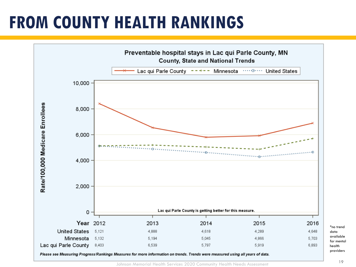### **FROM COUNTY HEALTH RANKINGS**



19

\*no trend data available for mental health providers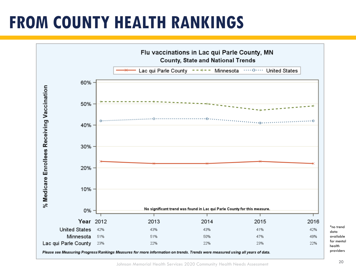### **FROM COUNTY HEALTH RANKINGS**



\*no trend data available for mental health providers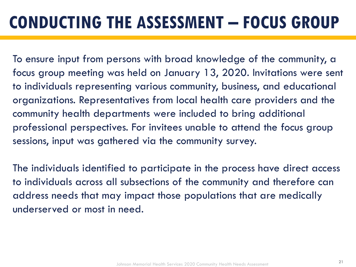### **CONDUCTING THE ASSESSMENT – FOCUS GROUP**

To ensure input from persons with broad knowledge of the community, a focus group meeting was held on January 13, 2020. Invitations were sent to individuals representing various community, business, and educational organizations. Representatives from local health care providers and the community health departments were included to bring additional professional perspectives. For invitees unable to attend the focus group sessions, input was gathered via the community survey.

The individuals identified to participate in the process have direct access to individuals across all subsections of the community and therefore can address needs that may impact those populations that are medically underserved or most in need.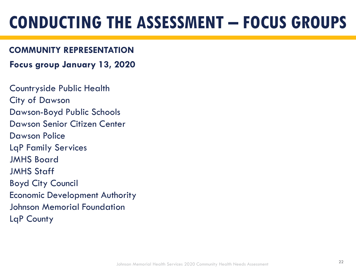### **CONDUCTING THE ASSESSMENT – FOCUS GROUPS**

#### **COMMUNITY REPRESENTATION**

**Focus group January 13, 2020**

Countryside Public Health City of Dawson Dawson-Boyd Public Schools Dawson Senior Citizen Center Dawson Police LqP Family Services JMHS Board JMHS Staff Boyd City Council Economic Development Authority Johnson Memorial Foundation LqP County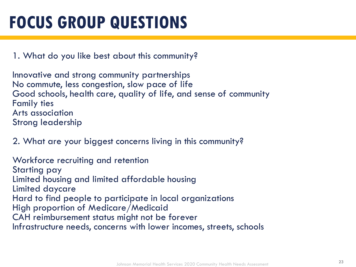### **FOCUS GROUP QUESTIONS**

1. What do you like best about this community?

Innovative and strong community partnerships No commute, less congestion, slow pace of life Good schools, health care, quality of life, and sense of community Family ties Arts association Strong leadership

2. What are your biggest concerns living in this community?

Workforce recruiting and retention Starting pay Limited housing and limited affordable housing Limited daycare Hard to find people to participate in local organizations High proportion of Medicare/Medicaid CAH reimbursement status might not be forever Infrastructure needs, concerns with lower incomes, streets, schools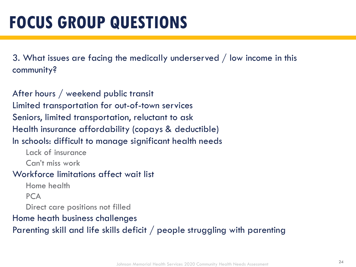3. What issues are facing the medically underserved / low income in this community?

After hours / weekend public transit Limited transportation for out-of-town services Seniors, limited transportation, reluctant to ask Health insurance affordability (copays & deductible) In schools: difficult to manage significant health needs Lack of insurance Can't miss work Workforce limitations affect wait list

Home health

**PCA** 

Direct care positions not filled

Home heath business challenges

Parenting skill and life skills deficit / people struggling with parenting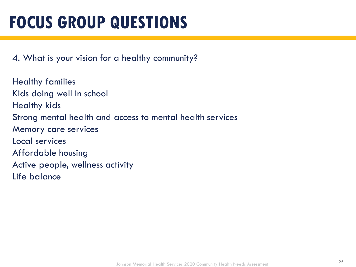### **FOCUS GROUP QUESTIONS**

4. What is your vision for a healthy community?

Healthy families Kids doing well in school Healthy kids Strong mental health and access to mental health services Memory care services Local services Affordable housing Active people, wellness activity Life balance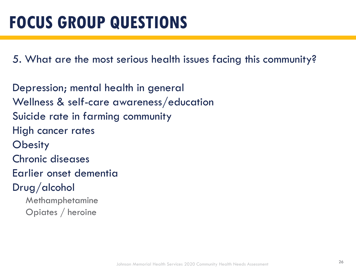5. What are the most serious health issues facing this community?

Depression; mental health in general Wellness & self-care awareness/education Suicide rate in farming community High cancer rates **Obesity** Chronic diseases Earlier onset dementia Drug/alcohol Methamphetamine Opiates / heroine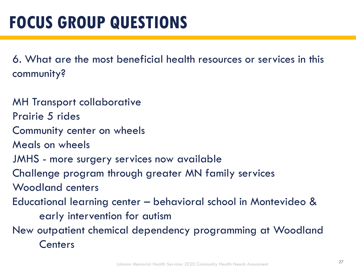6. What are the most beneficial health resources or services in this community?

MH Transport collaborative Prairie 5 rides Community center on wheels Meals on wheels JMHS - more surgery services now available Challenge program through greater MN family services Woodland centers Educational learning center – behavioral school in Montevideo & early intervention for autism New outpatient chemical dependency programming at Woodland **Centers**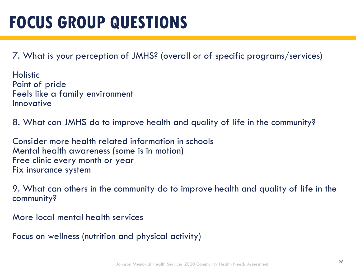### **FOCUS GROUP QUESTIONS**

7. What is your perception of JMHS? (overall or of specific programs/services)

Holistic Point of pride Feels like a family environment Innovative

8. What can JMHS do to improve health and quality of life in the community?

Consider more health related information in schools Mental health awareness (some is in motion) Free clinic every month or year Fix insurance system

9. What can others in the community do to improve health and quality of life in the community?

More local mental health services

Focus on wellness (nutrition and physical activity)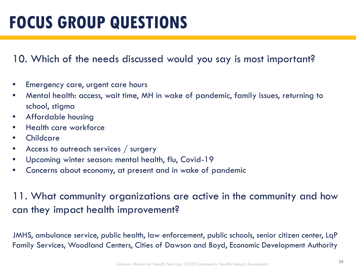### **FOCUS GROUP QUESTIONS**

### 10. Which of the needs discussed would you say is most important?

- Emergency care, urgent care hours
- Mental health: access, wait time, MH in wake of pandemic, family issues, returning to school, stigma
- Affordable housing
- Health care workforce
- **Childcare**
- Access to outreach services / surgery
- Upcoming winter season: mental health, flu, Covid-19
- Concerns about economy, at present and in wake of pandemic

### 11. What community organizations are active in the community and how can they impact health improvement?

JMHS, ambulance service, public health, law enforcement, public schools, senior citizen center, LqP Family Services, Woodland Centers, Cities of Dawson and Boyd, Economic Development Authority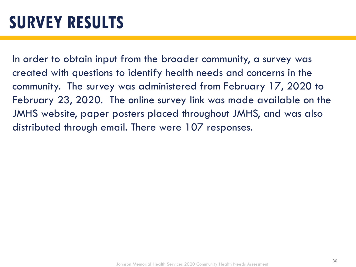In order to obtain input from the broader community, a survey was created with questions to identify health needs and concerns in the community. The survey was administered from February 17, 2020 to February 23, 2020. The online survey link was made available on the JMHS website, paper posters placed throughout JMHS, and was also distributed through email. There were 107 responses.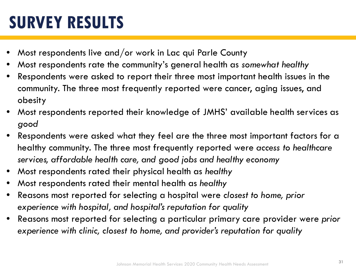### **SURVEY RESULTS**

- Most respondents live and/or work in Lac qui Parle County
- Most respondents rate the community's general health as *somewhat healthy*
- Respondents were asked to report their three most important health issues in the community. The three most frequently reported were cancer, aging issues, and obesity
- Most respondents reported their knowledge of JMHS' available health services as *good*
- Respondents were asked what they feel are the three most important factors for a healthy community. The three most frequently reported were *access to healthcare services, affordable health care, and good jobs and healthy economy*
- Most respondents rated their physical health as *healthy*
- Most respondents rated their mental health as *healthy*
- Reasons most reported for selecting a hospital were *closest to home, prior experience with hospital, and hospital's reputation for quality*
- Reasons most reported for selecting a particular primary care provider were *prior experience with clinic, closest to home, and provider's reputation for quality*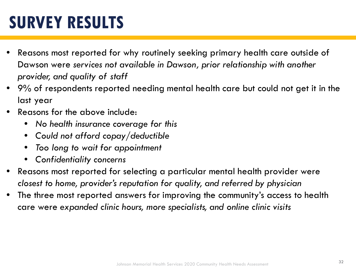### **SURVEY RESULTS**

- Reasons most reported for why routinely seeking primary health care outside of Dawson were *services not available in Dawson, prior relationship with another provider, and quality of staff*
- 9% of respondents reported needing mental health care but could not get it in the last year
- Reasons for the above include:
	- *No health insurance coverage for this*
	- *Could not afford copay/deductible*
	- *Too long to wait for appointment*
	- *Confidentiality concerns*
- Reasons most reported for selecting a particular mental health provider were *closest to home, provider's reputation for quality, and referred by physician*
- The three most reported answers for improving the community's access to health care were *expanded clinic hours, more specialists, and online clinic visits*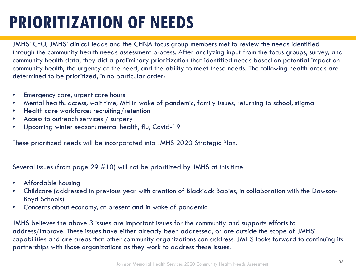### **PRIORITIZATION OF NEEDS**

JMHS' CEO, JMHS' clinical leads and the CHNA focus group members met to review the needs identified through the community health needs assessment process. After analyzing input from the focus groups, survey, and community health data, they did a preliminary prioritization that identified needs based on potential impact on community health, the urgency of the need, and the ability to meet these needs. The following health areas are determined to be prioritized, in no particular order:

- Emergency care, urgent care hours
- Mental health: access, wait time, MH in wake of pandemic, family issues, returning to school, stigma
- Health care workforce: recruiting/retention
- Access to outreach services / surgery
- Upcoming winter season: mental health, flu, Covid-19

These prioritized needs will be incorporated into JMHS 2020 Strategic Plan.

Several issues (from page 29 #10) will not be prioritized by JMHS at this time:

- Affordable housing
- Childcare (addressed in previous year with creation of Blackjack Babies, in collaboration with the Dawson-Boyd Schools)
- Concerns about economy, at present and in wake of pandemic

JMHS believes the above 3 issues are important issues for the community and supports efforts to address/improve. These issues have either already been addressed, or are outside the scope of JMHS' capabilities and are areas that other community organizations can address. JMHS looks forward to continuing its partnerships with those organizations as they work to address these issues.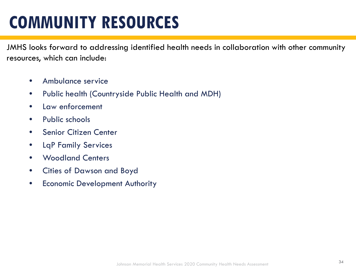### **COMMUNITY RESOURCES**

JMHS looks forward to addressing identified health needs in collaboration with other community resources, which can include:

- Ambulance service
- Public health (Countryside Public Health and MDH)
- Law enforcement
- Public schools
- Senior Citizen Center
- LqP Family Services
- Woodland Centers
- Cities of Dawson and Boyd
- Economic Development Authority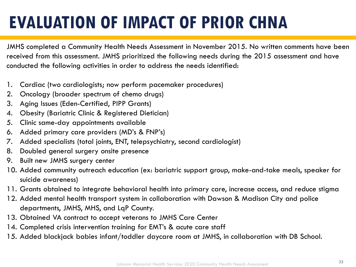## **EVALUATION OF IMPACT OF PRIOR CHNA**

JMHS completed a Community Health Needs Assessment in November 2015. No written comments have been received from this assessment. JMHS prioritized the following needs during the 2015 assessment and have conducted the following activities in order to address the needs identified:

- 1. Cardiac (two cardiologists; now perform pacemaker procedures)
- 2. Oncology (broader spectrum of chemo drugs)
- 3. Aging Issues (Eden-Certified, PIPP Grants)
- 4. Obesity (Bariatric Clinic & Registered Dietician)
- 5. Clinic same-day appointments available
- 6. Added primary care providers (MD's & FNP's)
- 7. Added specialists (total joints, ENT, telepsychiatry, second cardiologist)
- 8. Doubled general surgery onsite presence
- 9. Built new JMHS surgery center
- 10. Added community outreach education (ex: bariatric support group, make-and-take meals, speaker for suicide awareness)
- 11. Grants obtained to integrate behavioral health into primary care, increase access, and reduce stigma
- 12. Added mental health transport system in collaboration with Dawson & Madison City and police departments, JMHS, MHS, and LqP County.
- 13. Obtained VA contract to accept veterans to JMHS Care Center
- 14. Completed crisis intervention training for EMT's & acute care staff
- 15. Added blackjack babies infant/toddler daycare room at JMHS, in collaboration with DB School.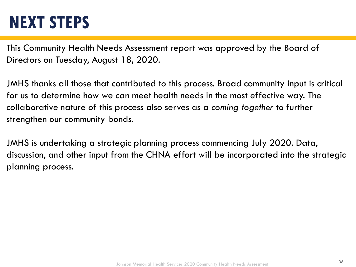### **NEXT STEPS**

This Community Health Needs Assessment report was approved by the Board of Directors on Tuesday, August 18, 2020.

JMHS thanks all those that contributed to this process. Broad community input is critical for us to determine how we can meet health needs in the most effective way. The collaborative nature of this process also serves as a *coming together* to further strengthen our community bonds.

JMHS is undertaking a strategic planning process commencing July 2020. Data, discussion, and other input from the CHNA effort will be incorporated into the strategic planning process.